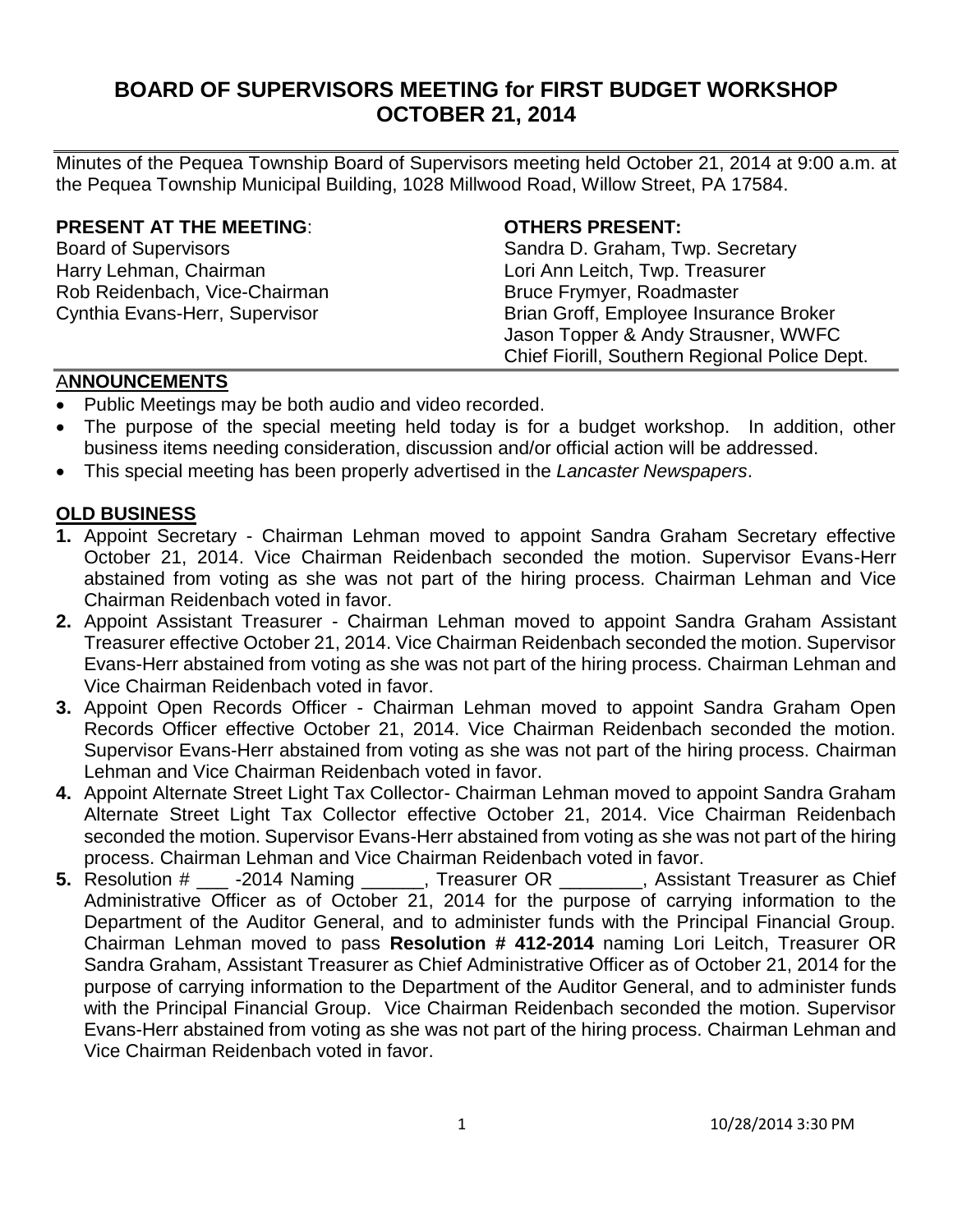# **BOARD OF SUPERVISORS MEETING for FIRST BUDGET WORKSHOP OCTOBER 21, 2014**

Minutes of the Pequea Township Board of Supervisors meeting held October 21, 2014 at 9:00 a.m. at the Pequea Township Municipal Building, 1028 Millwood Road, Willow Street, PA 17584.

#### **PRESENT AT THE MEETING**: **OTHERS PRESENT:**

Harry Lehman, Chairman **Lack and Lori Ann Leitch, Twp. Treasurer** Rob Reidenbach, Vice-Chairman Bruce Frymyer, Roadmaster

Board of Supervisors Sandra D. Graham, Twp. Secretary Cynthia Evans-Herr, Supervisor **Brian Groff**, Employee Insurance Broker Jason Topper & Andy Strausner, WWFC Chief Fiorill, Southern Regional Police Dept.

### A**NNOUNCEMENTS**

- Public Meetings may be both audio and video recorded.
- The purpose of the special meeting held today is for a budget workshop. In addition, other business items needing consideration, discussion and/or official action will be addressed.
- This special meeting has been properly advertised in the *Lancaster Newspapers*.

#### **OLD BUSINESS**

- **1.** Appoint Secretary Chairman Lehman moved to appoint Sandra Graham Secretary effective October 21, 2014. Vice Chairman Reidenbach seconded the motion. Supervisor Evans-Herr abstained from voting as she was not part of the hiring process. Chairman Lehman and Vice Chairman Reidenbach voted in favor.
- **2.** Appoint Assistant Treasurer Chairman Lehman moved to appoint Sandra Graham Assistant Treasurer effective October 21, 2014. Vice Chairman Reidenbach seconded the motion. Supervisor Evans-Herr abstained from voting as she was not part of the hiring process. Chairman Lehman and Vice Chairman Reidenbach voted in favor.
- **3.** Appoint Open Records Officer Chairman Lehman moved to appoint Sandra Graham Open Records Officer effective October 21, 2014. Vice Chairman Reidenbach seconded the motion. Supervisor Evans-Herr abstained from voting as she was not part of the hiring process. Chairman Lehman and Vice Chairman Reidenbach voted in favor.
- **4.** Appoint Alternate Street Light Tax Collector- Chairman Lehman moved to appoint Sandra Graham Alternate Street Light Tax Collector effective October 21, 2014. Vice Chairman Reidenbach seconded the motion. Supervisor Evans-Herr abstained from voting as she was not part of the hiring process. Chairman Lehman and Vice Chairman Reidenbach voted in favor.
- **5.** Resolution # \_\_\_ -2014 Naming \_\_\_\_\_\_, Treasurer OR \_\_\_\_\_\_\_\_, Assistant Treasurer as Chief Administrative Officer as of October 21, 2014 for the purpose of carrying information to the Department of the Auditor General, and to administer funds with the Principal Financial Group. Chairman Lehman moved to pass **Resolution # 412-2014** naming Lori Leitch, Treasurer OR Sandra Graham, Assistant Treasurer as Chief Administrative Officer as of October 21, 2014 for the purpose of carrying information to the Department of the Auditor General, and to administer funds with the Principal Financial Group. Vice Chairman Reidenbach seconded the motion. Supervisor Evans-Herr abstained from voting as she was not part of the hiring process. Chairman Lehman and Vice Chairman Reidenbach voted in favor.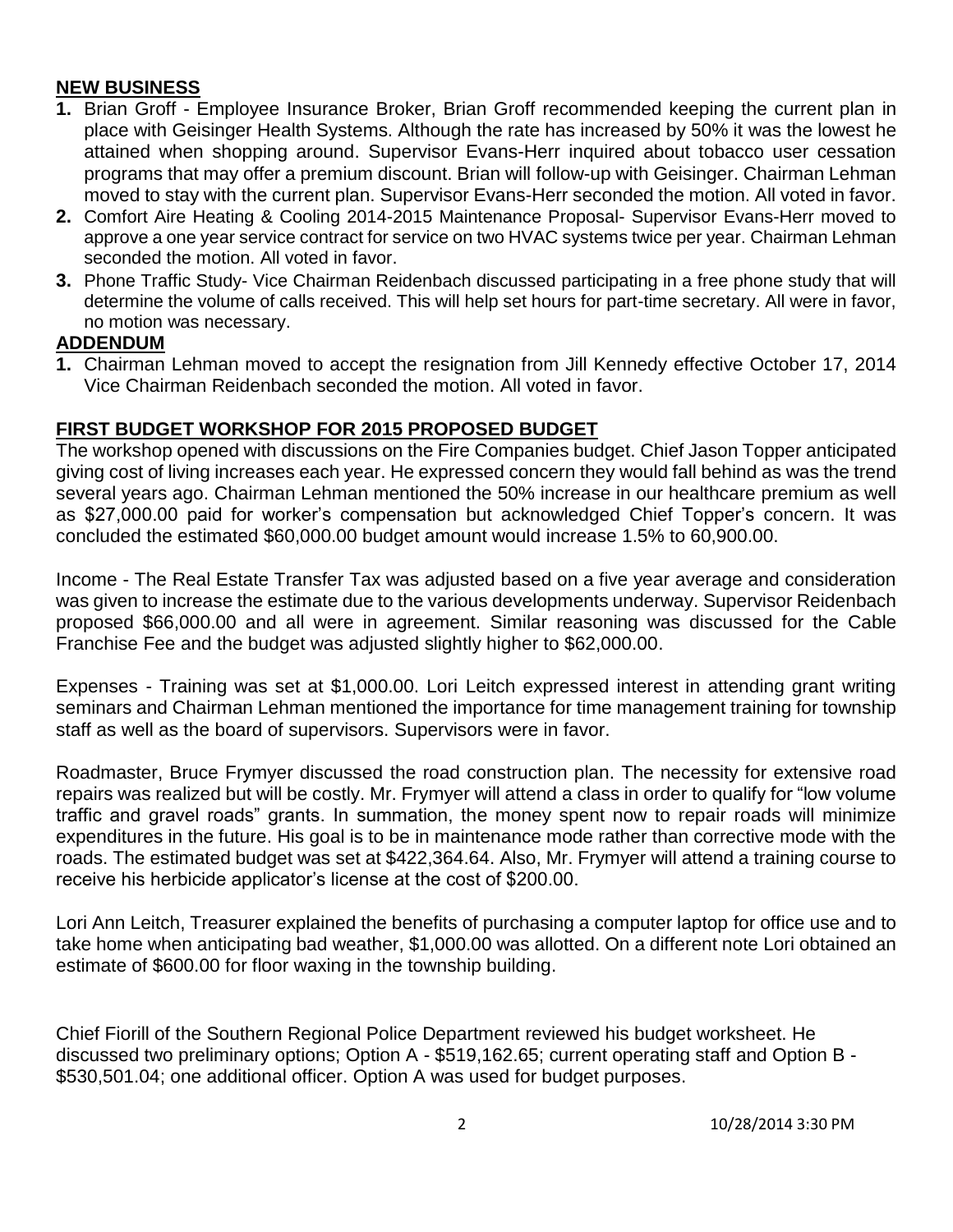# **NEW BUSINESS**

- **1.** Brian Groff Employee Insurance Broker, Brian Groff recommended keeping the current plan in place with Geisinger Health Systems. Although the rate has increased by 50% it was the lowest he attained when shopping around. Supervisor Evans-Herr inquired about tobacco user cessation programs that may offer a premium discount. Brian will follow-up with Geisinger. Chairman Lehman moved to stay with the current plan. Supervisor Evans-Herr seconded the motion. All voted in favor.
- **2.** Comfort Aire Heating & Cooling 2014-2015 Maintenance Proposal- Supervisor Evans-Herr moved to approve a one year service contract for service on two HVAC systems twice per year. Chairman Lehman seconded the motion. All voted in favor.
- **3.** Phone Traffic Study- Vice Chairman Reidenbach discussed participating in a free phone study that will determine the volume of calls received. This will help set hours for part-time secretary. All were in favor, no motion was necessary.

#### **ADDENDUM**

**1.** Chairman Lehman moved to accept the resignation from Jill Kennedy effective October 17, 2014 Vice Chairman Reidenbach seconded the motion. All voted in favor.

# **FIRST BUDGET WORKSHOP FOR 2015 PROPOSED BUDGET**

The workshop opened with discussions on the Fire Companies budget. Chief Jason Topper anticipated giving cost of living increases each year. He expressed concern they would fall behind as was the trend several years ago. Chairman Lehman mentioned the 50% increase in our healthcare premium as well as \$27,000.00 paid for worker's compensation but acknowledged Chief Topper's concern. It was concluded the estimated \$60,000.00 budget amount would increase 1.5% to 60,900.00.

Income - The Real Estate Transfer Tax was adjusted based on a five year average and consideration was given to increase the estimate due to the various developments underway. Supervisor Reidenbach proposed \$66,000.00 and all were in agreement. Similar reasoning was discussed for the Cable Franchise Fee and the budget was adjusted slightly higher to \$62,000.00.

Expenses - Training was set at \$1,000.00. Lori Leitch expressed interest in attending grant writing seminars and Chairman Lehman mentioned the importance for time management training for township staff as well as the board of supervisors. Supervisors were in favor.

Roadmaster, Bruce Frymyer discussed the road construction plan. The necessity for extensive road repairs was realized but will be costly. Mr. Frymyer will attend a class in order to qualify for "low volume traffic and gravel roads" grants. In summation, the money spent now to repair roads will minimize expenditures in the future. His goal is to be in maintenance mode rather than corrective mode with the roads. The estimated budget was set at \$422,364.64. Also, Mr. Frymyer will attend a training course to receive his herbicide applicator's license at the cost of \$200.00.

Lori Ann Leitch, Treasurer explained the benefits of purchasing a computer laptop for office use and to take home when anticipating bad weather, \$1,000.00 was allotted. On a different note Lori obtained an estimate of \$600.00 for floor waxing in the township building.

Chief Fiorill of the Southern Regional Police Department reviewed his budget worksheet. He discussed two preliminary options; Option A - \$519,162.65; current operating staff and Option B - \$530,501.04; one additional officer. Option A was used for budget purposes.